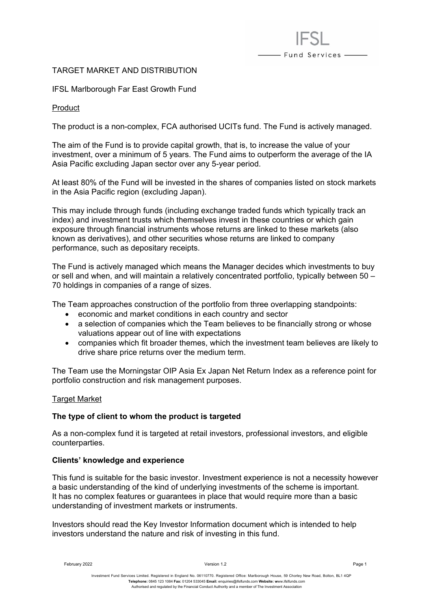# TARGET MARKET AND DISTRIBUTION

IFSL Marlborough Far East Growth Fund

Product

The product is a non-complex, FCA authorised UCITs fund. The Fund is actively managed.

- Fund Services —

The aim of the Fund is to provide capital growth, that is, to increase the value of your investment, over a minimum of 5 years. The Fund aims to outperform the average of the IA Asia Pacific excluding Japan sector over any 5-year period.

At least 80% of the Fund will be invested in the shares of companies listed on stock markets in the Asia Pacific region (excluding Japan).

This may include through funds (including exchange traded funds which typically track an index) and investment trusts which themselves invest in these countries or which gain exposure through financial instruments whose returns are linked to these markets (also known as derivatives), and other securities whose returns are linked to company performance, such as depositary receipts.

The Fund is actively managed which means the Manager decides which investments to buy or sell and when, and will maintain a relatively concentrated portfolio, typically between 50 – 70 holdings in companies of a range of sizes.

The Team approaches construction of the portfolio from three overlapping standpoints:

- economic and market conditions in each country and sector
- a selection of companies which the Team believes to be financially strong or whose valuations appear out of line with expectations
- companies which fit broader themes, which the investment team believes are likely to drive share price returns over the medium term.

The Team use the Morningstar OIP Asia Ex Japan Net Return Index as a reference point for portfolio construction and risk management purposes.

## Target Market

### **The type of client to whom the product is targeted**

As a non-complex fund it is targeted at retail investors, professional investors, and eligible counterparties.

### **Clients' knowledge and experience**

This fund is suitable for the basic investor. Investment experience is not a necessity however a basic understanding of the kind of underlying investments of the scheme is important. It has no complex features or guarantees in place that would require more than a basic understanding of investment markets or instruments.

Investors should read the Key Investor Information document which is intended to help investors understand the nature and risk of investing in this fund.

February 2022 Version 1.2 Page 1

Investment Fund Services Limited. Registered in England No. 06110770. Registered Office: Marlborough House, 59 Chorley New Road, Bolton, BL1 4QP **Telephone:** 0845 123 1084 **Fax:** 01204 533045 **Email:** [enquiries@ifslfunds.com](mailto:enquiries@ifslfunds.com) **Website: w**ww.ifslfunds.com Authorised and regulated by the Financial Conduct Authority and a member of The Investment Association